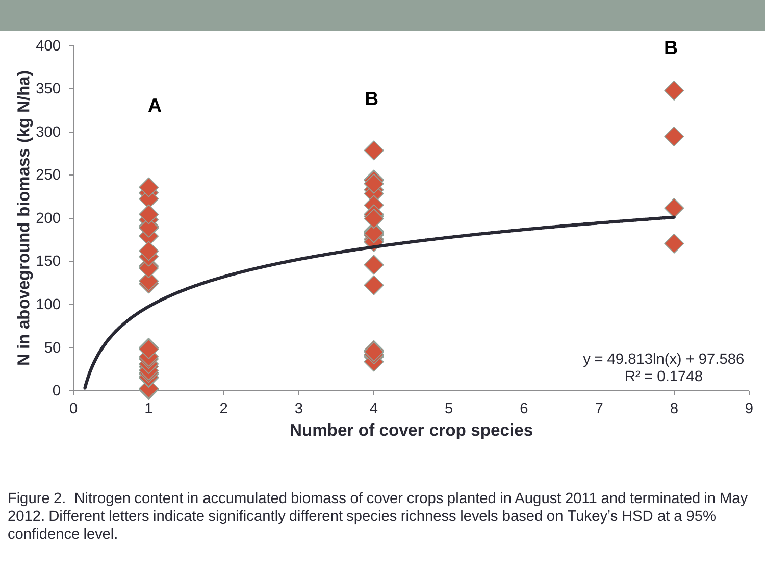

Figure 2. Nitrogen content in accumulated biomass of cover crops planted in August 2011 and terminated in May 2012. Different letters indicate significantly different species richness levels based on Tukey's HSD at a 95% confidence level.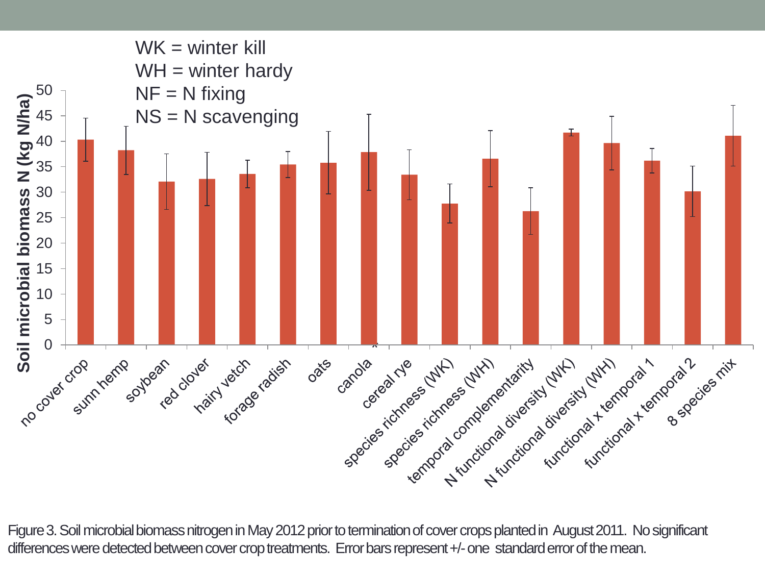

Figure 3. Soil microbial biomass nitrogen in May 2012 prior to termination of cover crops planted in August 2011. No significant differences were detected between cover crop treatments. Error bars represent +/- one standard error of the mean.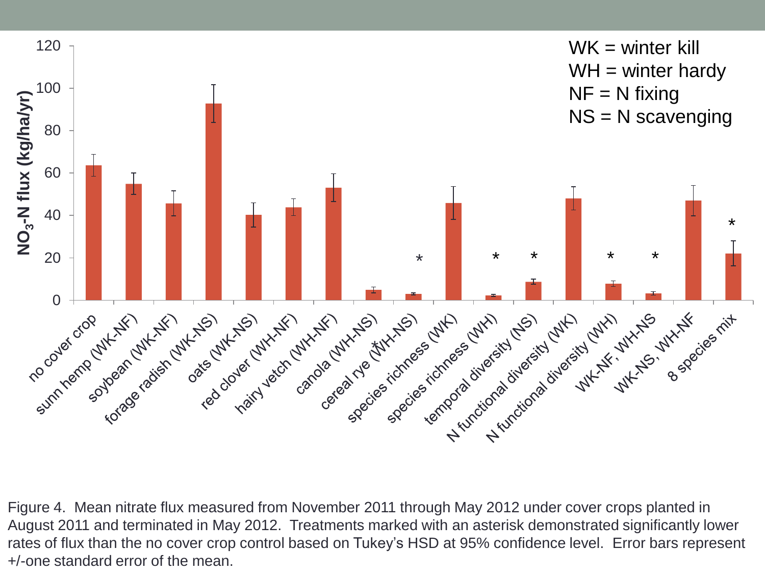

Figure 4. Mean nitrate flux measured from November 2011 through May 2012 under cover crops planted in August 2011 and terminated in May 2012. Treatments marked with an asterisk demonstrated significantly lower rates of flux than the no cover crop control based on Tukey's HSD at 95% confidence level. Error bars represent +/-one standard error of the mean.